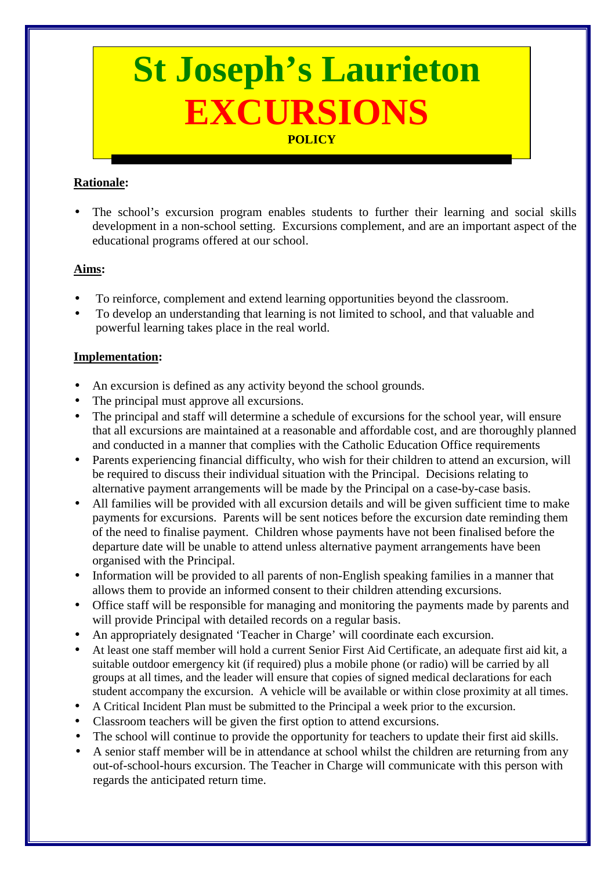# **St Joseph's Laurieton EXCURSIONS POLICY**

## **Rationale:**

• The school's excursion program enables students to further their learning and social skills development in a non-school setting. Excursions complement, and are an important aspect of the educational programs offered at our school.

#### **Aims:**

- To reinforce, complement and extend learning opportunities beyond the classroom.
- To develop an understanding that learning is not limited to school, and that valuable and powerful learning takes place in the real world.

#### **Implementation:**

- An excursion is defined as any activity beyond the school grounds.
- The principal must approve all excursions.
- The principal and staff will determine a schedule of excursions for the school year, will ensure that all excursions are maintained at a reasonable and affordable cost, and are thoroughly planned and conducted in a manner that complies with the Catholic Education Office requirements
- Parents experiencing financial difficulty, who wish for their children to attend an excursion, will be required to discuss their individual situation with the Principal. Decisions relating to alternative payment arrangements will be made by the Principal on a case-by-case basis.
- All families will be provided with all excursion details and will be given sufficient time to make payments for excursions. Parents will be sent notices before the excursion date reminding them of the need to finalise payment. Children whose payments have not been finalised before the departure date will be unable to attend unless alternative payment arrangements have been organised with the Principal.
- Information will be provided to all parents of non-English speaking families in a manner that allows them to provide an informed consent to their children attending excursions.
- Office staff will be responsible for managing and monitoring the payments made by parents and will provide Principal with detailed records on a regular basis.
- An appropriately designated 'Teacher in Charge' will coordinate each excursion.
- At least one staff member will hold a current Senior First Aid Certificate, an adequate first aid kit, a suitable outdoor emergency kit (if required) plus a mobile phone (or radio) will be carried by all groups at all times, and the leader will ensure that copies of signed medical declarations for each student accompany the excursion. A vehicle will be available or within close proximity at all times.
- A Critical Incident Plan must be submitted to the Principal a week prior to the excursion.
- Classroom teachers will be given the first option to attend excursions.
- The school will continue to provide the opportunity for teachers to update their first aid skills.
- A senior staff member will be in attendance at school whilst the children are returning from any out-of-school-hours excursion. The Teacher in Charge will communicate with this person with regards the anticipated return time.